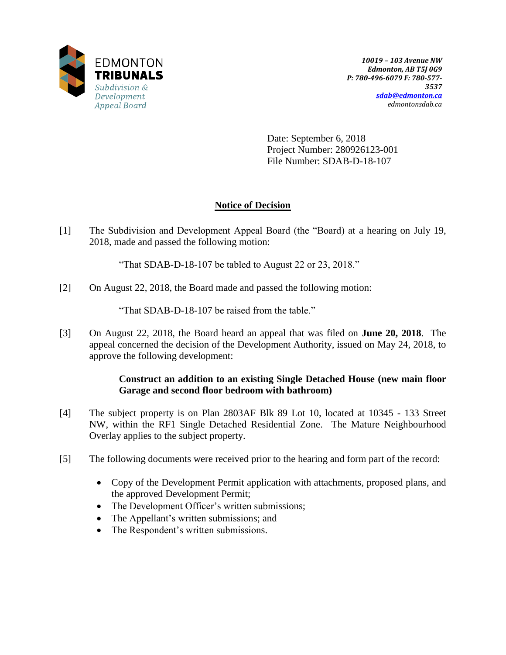

Date: September 6, 2018 Project Number: 280926123-001 File Number: SDAB-D-18-107

# **Notice of Decision**

[1] The Subdivision and Development Appeal Board (the "Board) at a hearing on July 19, 2018, made and passed the following motion:

"That SDAB-D-18-107 be tabled to August 22 or 23, 2018."

[2] On August 22, 2018, the Board made and passed the following motion:

"That SDAB-D-18-107 be raised from the table."

[3] On August 22, 2018, the Board heard an appeal that was filed on **June 20, 2018**. The appeal concerned the decision of the Development Authority, issued on May 24, 2018, to approve the following development:

## **Construct an addition to an existing Single Detached House (new main floor Garage and second floor bedroom with bathroom)**

- [4] The subject property is on Plan 2803AF Blk 89 Lot 10, located at 10345 133 Street NW, within the RF1 Single Detached Residential Zone. The Mature Neighbourhood Overlay applies to the subject property.
- [5] The following documents were received prior to the hearing and form part of the record:
	- Copy of the Development Permit application with attachments, proposed plans, and the approved Development Permit;
	- The Development Officer's written submissions;
	- The Appellant's written submissions; and
	- The Respondent's written submissions.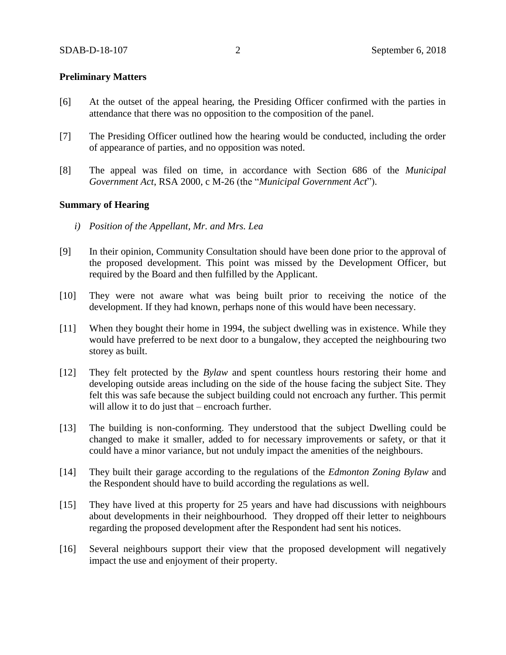#### **Preliminary Matters**

- [6] At the outset of the appeal hearing, the Presiding Officer confirmed with the parties in attendance that there was no opposition to the composition of the panel.
- [7] The Presiding Officer outlined how the hearing would be conducted, including the order of appearance of parties, and no opposition was noted.
- [8] The appeal was filed on time, in accordance with Section 686 of the *Municipal Government Act*, RSA 2000, c M-26 (the "*Municipal Government Act*").

#### **Summary of Hearing**

- *i) Position of the Appellant, Mr. and Mrs. Lea*
- [9] In their opinion, Community Consultation should have been done prior to the approval of the proposed development. This point was missed by the Development Officer, but required by the Board and then fulfilled by the Applicant.
- [10] They were not aware what was being built prior to receiving the notice of the development. If they had known, perhaps none of this would have been necessary.
- [11] When they bought their home in 1994, the subject dwelling was in existence. While they would have preferred to be next door to a bungalow, they accepted the neighbouring two storey as built.
- [12] They felt protected by the *Bylaw* and spent countless hours restoring their home and developing outside areas including on the side of the house facing the subject Site. They felt this was safe because the subject building could not encroach any further. This permit will allow it to do just that – encroach further.
- [13] The building is non-conforming. They understood that the subject Dwelling could be changed to make it smaller, added to for necessary improvements or safety, or that it could have a minor variance, but not unduly impact the amenities of the neighbours.
- [14] They built their garage according to the regulations of the *Edmonton Zoning Bylaw* and the Respondent should have to build according the regulations as well.
- [15] They have lived at this property for 25 years and have had discussions with neighbours about developments in their neighbourhood. They dropped off their letter to neighbours regarding the proposed development after the Respondent had sent his notices.
- [16] Several neighbours support their view that the proposed development will negatively impact the use and enjoyment of their property.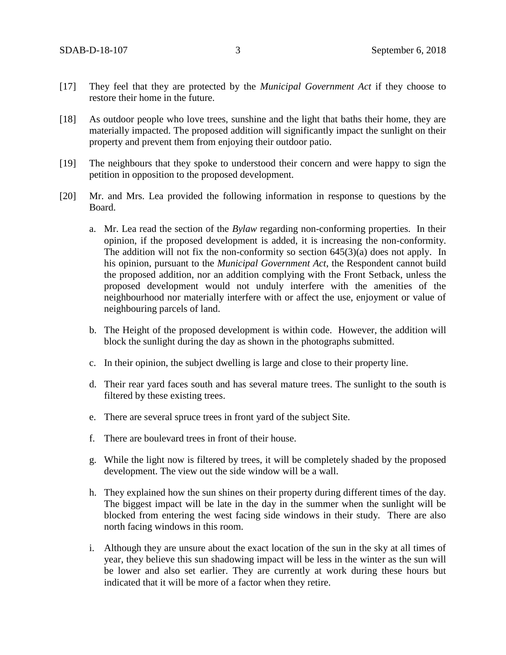- [17] They feel that they are protected by the *Municipal Government Act* if they choose to restore their home in the future.
- [18] As outdoor people who love trees, sunshine and the light that baths their home, they are materially impacted. The proposed addition will significantly impact the sunlight on their property and prevent them from enjoying their outdoor patio.
- [19] The neighbours that they spoke to understood their concern and were happy to sign the petition in opposition to the proposed development.
- [20] Mr. and Mrs. Lea provided the following information in response to questions by the Board.
	- a. Mr. Lea read the section of the *Bylaw* regarding non-conforming properties. In their opinion, if the proposed development is added, it is increasing the non-conformity. The addition will not fix the non-conformity so section  $645(3)(a)$  does not apply. In his opinion, pursuant to the *Municipal Government Act*, the Respondent cannot build the proposed addition, nor an addition complying with the Front Setback, unless the proposed development would not unduly interfere with the amenities of the neighbourhood nor materially interfere with or affect the use, enjoyment or value of neighbouring parcels of land.
	- b. The Height of the proposed development is within code. However, the addition will block the sunlight during the day as shown in the photographs submitted.
	- c. In their opinion, the subject dwelling is large and close to their property line.
	- d. Their rear yard faces south and has several mature trees. The sunlight to the south is filtered by these existing trees.
	- e. There are several spruce trees in front yard of the subject Site.
	- f. There are boulevard trees in front of their house.
	- g. While the light now is filtered by trees, it will be completely shaded by the proposed development. The view out the side window will be a wall.
	- h. They explained how the sun shines on their property during different times of the day. The biggest impact will be late in the day in the summer when the sunlight will be blocked from entering the west facing side windows in their study. There are also north facing windows in this room.
	- i. Although they are unsure about the exact location of the sun in the sky at all times of year, they believe this sun shadowing impact will be less in the winter as the sun will be lower and also set earlier. They are currently at work during these hours but indicated that it will be more of a factor when they retire.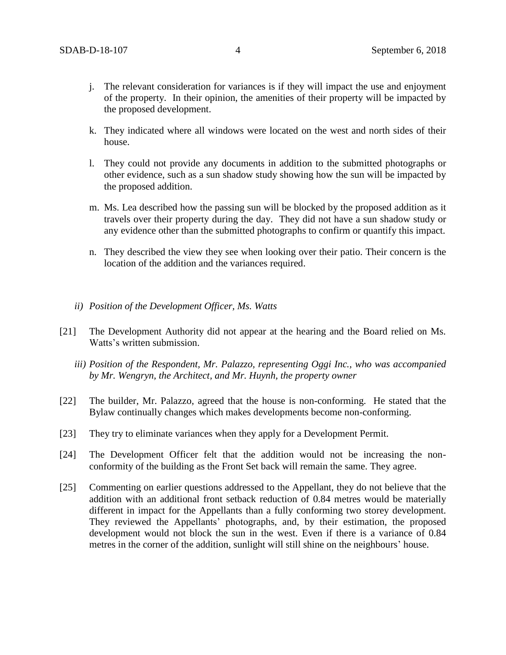- j. The relevant consideration for variances is if they will impact the use and enjoyment of the property. In their opinion, the amenities of their property will be impacted by the proposed development.
- k. They indicated where all windows were located on the west and north sides of their house.
- l. They could not provide any documents in addition to the submitted photographs or other evidence, such as a sun shadow study showing how the sun will be impacted by the proposed addition.
- m. Ms. Lea described how the passing sun will be blocked by the proposed addition as it travels over their property during the day. They did not have a sun shadow study or any evidence other than the submitted photographs to confirm or quantify this impact.
- n. They described the view they see when looking over their patio. Their concern is the location of the addition and the variances required.
- *ii) Position of the Development Officer, Ms. Watts*
- [21] The Development Authority did not appear at the hearing and the Board relied on Ms. Watts's written submission.
	- *iii) Position of the Respondent, Mr. Palazzo, representing Oggi Inc., who was accompanied by Mr. Wengryn, the Architect, and Mr. Huynh, the property owner*
- [22] The builder, Mr. Palazzo, agreed that the house is non-conforming. He stated that the Bylaw continually changes which makes developments become non-conforming.
- [23] They try to eliminate variances when they apply for a Development Permit.
- [24] The Development Officer felt that the addition would not be increasing the nonconformity of the building as the Front Set back will remain the same. They agree.
- [25] Commenting on earlier questions addressed to the Appellant, they do not believe that the addition with an additional front setback reduction of 0.84 metres would be materially different in impact for the Appellants than a fully conforming two storey development. They reviewed the Appellants' photographs, and, by their estimation, the proposed development would not block the sun in the west. Even if there is a variance of 0.84 metres in the corner of the addition, sunlight will still shine on the neighbours' house.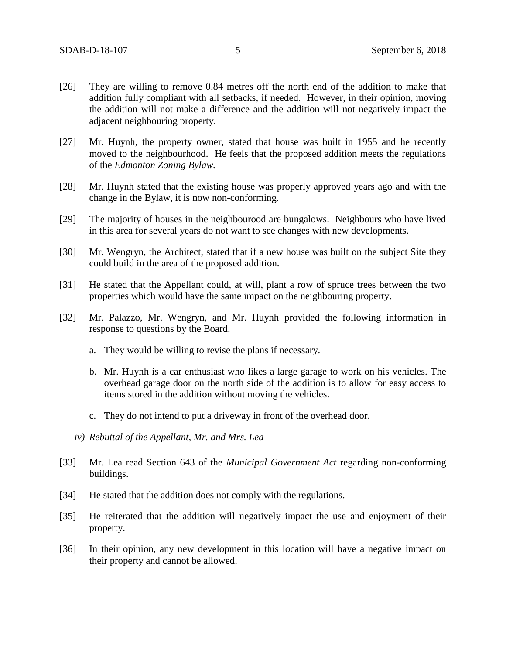- [26] They are willing to remove 0.84 metres off the north end of the addition to make that addition fully compliant with all setbacks, if needed. However, in their opinion, moving the addition will not make a difference and the addition will not negatively impact the adjacent neighbouring property.
- [27] Mr. Huynh, the property owner, stated that house was built in 1955 and he recently moved to the neighbourhood. He feels that the proposed addition meets the regulations of the *Edmonton Zoning Bylaw.*
- [28] Mr. Huynh stated that the existing house was properly approved years ago and with the change in the Bylaw, it is now non-conforming.
- [29] The majority of houses in the neighbourood are bungalows. Neighbours who have lived in this area for several years do not want to see changes with new developments.
- [30] Mr. Wengryn, the Architect, stated that if a new house was built on the subject Site they could build in the area of the proposed addition.
- [31] He stated that the Appellant could, at will, plant a row of spruce trees between the two properties which would have the same impact on the neighbouring property.
- [32] Mr. Palazzo, Mr. Wengryn, and Mr. Huynh provided the following information in response to questions by the Board.
	- a. They would be willing to revise the plans if necessary.
	- b. Mr. Huynh is a car enthusiast who likes a large garage to work on his vehicles. The overhead garage door on the north side of the addition is to allow for easy access to items stored in the addition without moving the vehicles.
	- c. They do not intend to put a driveway in front of the overhead door.
	- *iv) Rebuttal of the Appellant, Mr. and Mrs. Lea*
- [33] Mr. Lea read Section 643 of the *Municipal Government Act* regarding non-conforming buildings.
- [34] He stated that the addition does not comply with the regulations.
- [35] He reiterated that the addition will negatively impact the use and enjoyment of their property.
- [36] In their opinion, any new development in this location will have a negative impact on their property and cannot be allowed.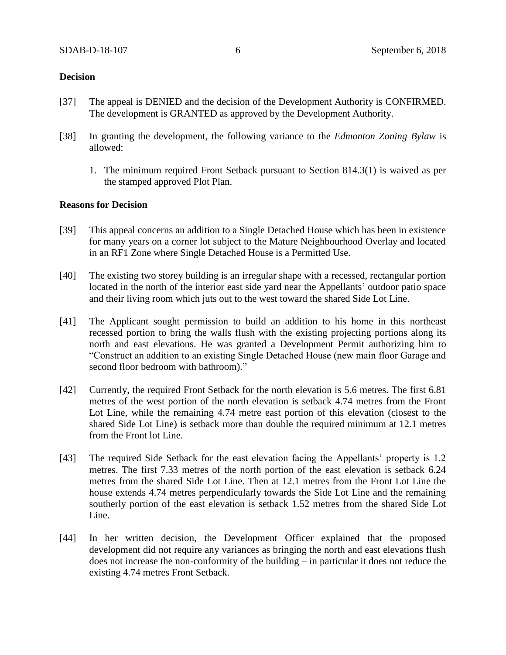#### **Decision**

- [37] The appeal is DENIED and the decision of the Development Authority is CONFIRMED. The development is GRANTED as approved by the Development Authority.
- [38] In granting the development, the following variance to the *Edmonton Zoning Bylaw* is allowed:
	- 1. The minimum required Front Setback pursuant to Section 814.3(1) is waived as per the stamped approved Plot Plan.

### **Reasons for Decision**

- [39] This appeal concerns an addition to a Single Detached House which has been in existence for many years on a corner lot subject to the Mature Neighbourhood Overlay and located in an RF1 Zone where Single Detached House is a Permitted Use.
- [40] The existing two storey building is an irregular shape with a recessed, rectangular portion located in the north of the interior east side yard near the Appellants' outdoor patio space and their living room which juts out to the west toward the shared Side Lot Line.
- [41] The Applicant sought permission to build an addition to his home in this northeast recessed portion to bring the walls flush with the existing projecting portions along its north and east elevations. He was granted a Development Permit authorizing him to "Construct an addition to an existing Single Detached House (new main floor Garage and second floor bedroom with bathroom)."
- [42] Currently, the required Front Setback for the north elevation is 5.6 metres. The first 6.81 metres of the west portion of the north elevation is setback 4.74 metres from the Front Lot Line, while the remaining 4.74 metre east portion of this elevation (closest to the shared Side Lot Line) is setback more than double the required minimum at 12.1 metres from the Front lot Line.
- [43] The required Side Setback for the east elevation facing the Appellants' property is 1.2 metres. The first 7.33 metres of the north portion of the east elevation is setback 6.24 metres from the shared Side Lot Line. Then at 12.1 metres from the Front Lot Line the house extends 4.74 metres perpendicularly towards the Side Lot Line and the remaining southerly portion of the east elevation is setback 1.52 metres from the shared Side Lot Line.
- [44] In her written decision, the Development Officer explained that the proposed development did not require any variances as bringing the north and east elevations flush does not increase the non-conformity of the building – in particular it does not reduce the existing 4.74 metres Front Setback.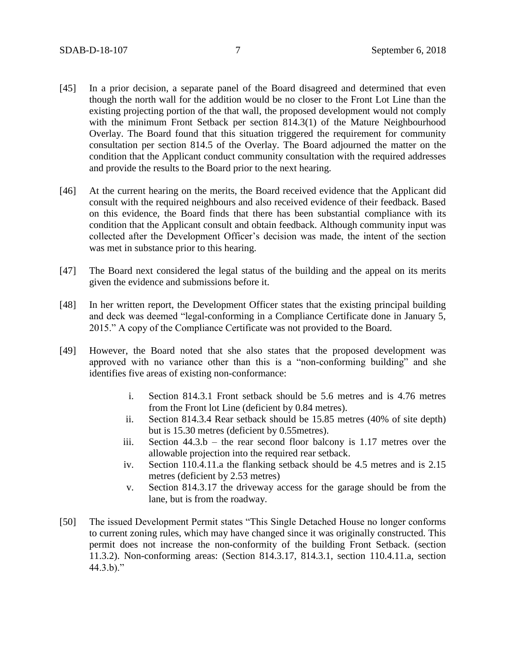- [45] In a prior decision, a separate panel of the Board disagreed and determined that even though the north wall for the addition would be no closer to the Front Lot Line than the existing projecting portion of the that wall, the proposed development would not comply with the minimum Front Setback per section 814.3(1) of the Mature Neighbourhood Overlay. The Board found that this situation triggered the requirement for community consultation per section 814.5 of the Overlay. The Board adjourned the matter on the condition that the Applicant conduct community consultation with the required addresses and provide the results to the Board prior to the next hearing.
- [46] At the current hearing on the merits, the Board received evidence that the Applicant did consult with the required neighbours and also received evidence of their feedback. Based on this evidence, the Board finds that there has been substantial compliance with its condition that the Applicant consult and obtain feedback. Although community input was collected after the Development Officer's decision was made, the intent of the section was met in substance prior to this hearing.
- [47] The Board next considered the legal status of the building and the appeal on its merits given the evidence and submissions before it.
- [48] In her written report, the Development Officer states that the existing principal building and deck was deemed "legal-conforming in a Compliance Certificate done in January 5, 2015." A copy of the Compliance Certificate was not provided to the Board.
- [49] However, the Board noted that she also states that the proposed development was approved with no variance other than this is a "non-conforming building" and she identifies five areas of existing non-conformance:
	- i. Section 814.3.1 Front setback should be 5.6 metres and is 4.76 metres from the Front lot Line (deficient by 0.84 metres).
	- ii. Section 814.3.4 Rear setback should be 15.85 metres (40% of site depth) but is 15.30 metres (deficient by 0.55metres).
	- iii. Section  $44.3.b$  the rear second floor balcony is 1.17 metres over the allowable projection into the required rear setback.
	- iv. Section 110.4.11.a the flanking setback should be 4.5 metres and is 2.15 metres (deficient by 2.53 metres)
	- v. Section 814.3.17 the driveway access for the garage should be from the lane, but is from the roadway.
- [50] The issued Development Permit states "This Single Detached House no longer conforms to current zoning rules, which may have changed since it was originally constructed. This permit does not increase the non-conformity of the building Front Setback. (section 11.3.2). Non-conforming areas: (Section 814.3.17, 814.3.1, section 110.4.11.a, section  $44.3.b$ ."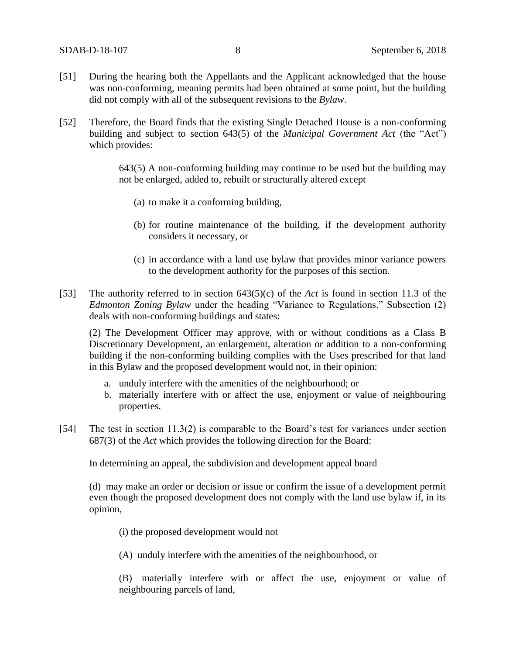- [51] During the hearing both the Appellants and the Applicant acknowledged that the house was non-conforming, meaning permits had been obtained at some point, but the building did not comply with all of the subsequent revisions to the *Bylaw*.
- [52] Therefore, the Board finds that the existing Single Detached House is a non-conforming building and subject to section 643(5) of the *Municipal Government Act* (the "Act") which provides:

643(5) A non-conforming building may continue to be used but the building may not be enlarged, added to, rebuilt or structurally altered except

- (a) to make it a conforming building,
- (b) for routine maintenance of the building, if the development authority considers it necessary, or
- (c) in accordance with a land use bylaw that provides minor variance powers to the development authority for the purposes of this section.
- [53] The authority referred to in section 643(5)(c) of the *Act* is found in section 11.3 of the *Edmonton Zoning Bylaw* under the heading "Variance to Regulations." Subsection (2) deals with non-conforming buildings and states:

(2) The Development Officer may approve, with or without conditions as a Class B Discretionary Development, an enlargement, alteration or addition to a non-conforming building if the non-conforming building complies with the Uses prescribed for that land in this Bylaw and the proposed development would not, in their opinion:

- a. unduly interfere with the amenities of the neighbourhood; or
- b. materially interfere with or affect the use, enjoyment or value of neighbouring properties.
- [54] The test in section 11.3(2) is comparable to the Board's test for variances under section 687(3) of the *Act* which provides the following direction for the Board:

In determining an appeal, the subdivision and development appeal board

(d) may make an order or decision or issue or confirm the issue of a development permit even though the proposed development does not comply with the land use bylaw if, in its opinion,

- (i) the proposed development would not
- (A) unduly interfere with the amenities of the neighbourhood, or

(B) materially interfere with or affect the use, enjoyment or value of neighbouring parcels of land,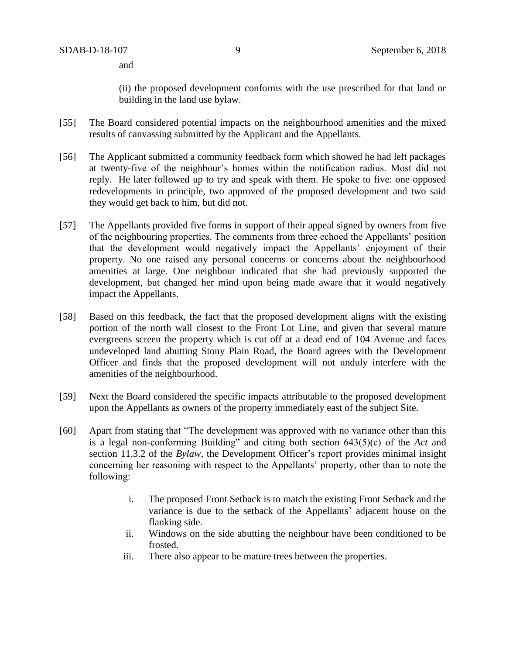and

(ii) the proposed development conforms with the use prescribed for that land or building in the land use bylaw.

- [55] The Board considered potential impacts on the neighbourhood amenities and the mixed results of canvassing submitted by the Applicant and the Appellants.
- [56] The Applicant submitted a community feedback form which showed he had left packages at twenty-five of the neighbour's homes within the notification radius. Most did not reply. He later followed up to try and speak with them. He spoke to five: one opposed redevelopments in principle, two approved of the proposed development and two said they would get back to him, but did not.
- [57] The Appellants provided five forms in support of their appeal signed by owners from five of the neighbouring properties. The comments from three echoed the Appellants' position that the development would negatively impact the Appellants' enjoyment of their property. No one raised any personal concerns or concerns about the neighbourhood amenities at large. One neighbour indicated that she had previously supported the development, but changed her mind upon being made aware that it would negatively impact the Appellants.
- [58] Based on this feedback, the fact that the proposed development aligns with the existing portion of the north wall closest to the Front Lot Line, and given that several mature evergreens screen the property which is cut off at a dead end of 104 Avenue and faces undeveloped land abutting Stony Plain Road, the Board agrees with the Development Officer and finds that the proposed development will not unduly interfere with the amenities of the neighbourhood.
- [59] Next the Board considered the specific impacts attributable to the proposed development upon the Appellants as owners of the property immediately east of the subject Site.
- [60] Apart from stating that "The development was approved with no variance other than this is a legal non-conforming Building" and citing both section 643(5)(c) of the *Act* and section 11.3.2 of the *Bylaw*, the Development Officer's report provides minimal insight concerning her reasoning with respect to the Appellants' property, other than to note the following:
	- i. The proposed Front Setback is to match the existing Front Setback and the variance is due to the setback of the Appellants' adjacent house on the flanking side.
	- ii. Windows on the side abutting the neighbour have been conditioned to be frosted.
	- iii. There also appear to be mature trees between the properties.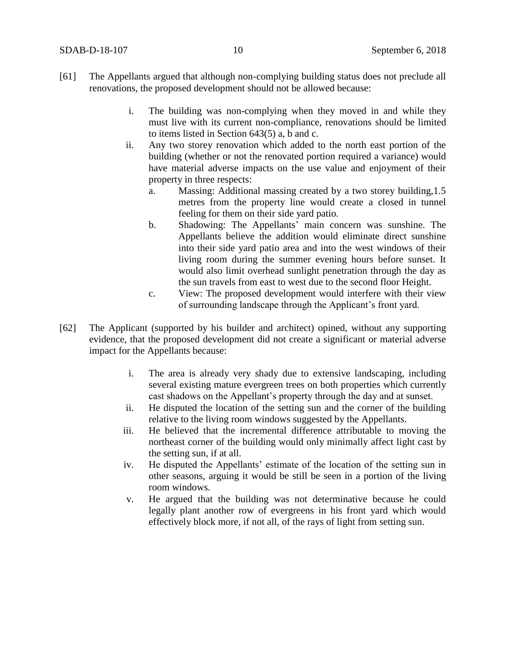- [61] The Appellants argued that although non-complying building status does not preclude all renovations, the proposed development should not be allowed because:
	- i. The building was non-complying when they moved in and while they must live with its current non-compliance, renovations should be limited to items listed in Section 643(5) a, b and c.
	- ii. Any two storey renovation which added to the north east portion of the building (whether or not the renovated portion required a variance) would have material adverse impacts on the use value and enjoyment of their property in three respects:
		- a. Massing: Additional massing created by a two storey building,1.5 metres from the property line would create a closed in tunnel feeling for them on their side yard patio.
		- b. Shadowing: The Appellants' main concern was sunshine. The Appellants believe the addition would eliminate direct sunshine into their side yard patio area and into the west windows of their living room during the summer evening hours before sunset. It would also limit overhead sunlight penetration through the day as the sun travels from east to west due to the second floor Height.
		- c. View: The proposed development would interfere with their view of surrounding landscape through the Applicant's front yard.
- [62] The Applicant (supported by his builder and architect) opined, without any supporting evidence, that the proposed development did not create a significant or material adverse impact for the Appellants because:
	- i. The area is already very shady due to extensive landscaping, including several existing mature evergreen trees on both properties which currently cast shadows on the Appellant's property through the day and at sunset.
	- ii. He disputed the location of the setting sun and the corner of the building relative to the living room windows suggested by the Appellants.
	- iii. He believed that the incremental difference attributable to moving the northeast corner of the building would only minimally affect light cast by the setting sun, if at all.
	- iv. He disputed the Appellants' estimate of the location of the setting sun in other seasons, arguing it would be still be seen in a portion of the living room windows.
	- v. He argued that the building was not determinative because he could legally plant another row of evergreens in his front yard which would effectively block more, if not all, of the rays of light from setting sun.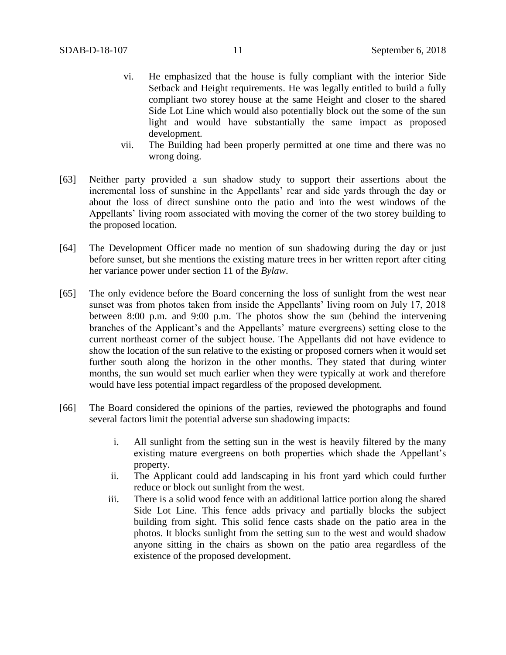- vi. He emphasized that the house is fully compliant with the interior Side Setback and Height requirements. He was legally entitled to build a fully compliant two storey house at the same Height and closer to the shared Side Lot Line which would also potentially block out the some of the sun light and would have substantially the same impact as proposed development.
- vii. The Building had been properly permitted at one time and there was no wrong doing.
- [63] Neither party provided a sun shadow study to support their assertions about the incremental loss of sunshine in the Appellants' rear and side yards through the day or about the loss of direct sunshine onto the patio and into the west windows of the Appellants' living room associated with moving the corner of the two storey building to the proposed location.
- [64] The Development Officer made no mention of sun shadowing during the day or just before sunset, but she mentions the existing mature trees in her written report after citing her variance power under section 11 of the *Bylaw*.
- [65] The only evidence before the Board concerning the loss of sunlight from the west near sunset was from photos taken from inside the Appellants' living room on July 17, 2018 between 8:00 p.m. and 9:00 p.m. The photos show the sun (behind the intervening branches of the Applicant's and the Appellants' mature evergreens) setting close to the current northeast corner of the subject house. The Appellants did not have evidence to show the location of the sun relative to the existing or proposed corners when it would set further south along the horizon in the other months. They stated that during winter months, the sun would set much earlier when they were typically at work and therefore would have less potential impact regardless of the proposed development.
- [66] The Board considered the opinions of the parties, reviewed the photographs and found several factors limit the potential adverse sun shadowing impacts:
	- i. All sunlight from the setting sun in the west is heavily filtered by the many existing mature evergreens on both properties which shade the Appellant's property.
	- ii. The Applicant could add landscaping in his front yard which could further reduce or block out sunlight from the west.
	- iii. There is a solid wood fence with an additional lattice portion along the shared Side Lot Line. This fence adds privacy and partially blocks the subject building from sight. This solid fence casts shade on the patio area in the photos. It blocks sunlight from the setting sun to the west and would shadow anyone sitting in the chairs as shown on the patio area regardless of the existence of the proposed development.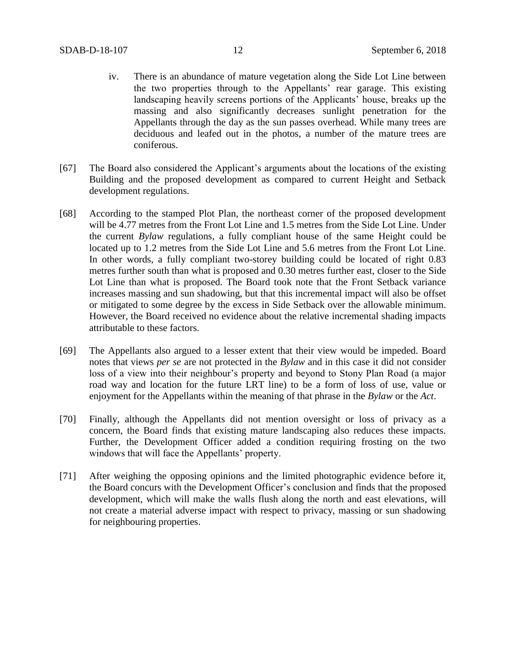- iv. There is an abundance of mature vegetation along the Side Lot Line between the two properties through to the Appellants' rear garage. This existing landscaping heavily screens portions of the Applicants' house, breaks up the massing and also significantly decreases sunlight penetration for the Appellants through the day as the sun passes overhead. While many trees are deciduous and leafed out in the photos, a number of the mature trees are coniferous.
- [67] The Board also considered the Applicant's arguments about the locations of the existing Building and the proposed development as compared to current Height and Setback development regulations.
- [68] According to the stamped Plot Plan, the northeast corner of the proposed development will be 4.77 metres from the Front Lot Line and 1.5 metres from the Side Lot Line. Under the current *Bylaw* regulations, a fully compliant house of the same Height could be located up to 1.2 metres from the Side Lot Line and 5.6 metres from the Front Lot Line. In other words, a fully compliant two-storey building could be located of right 0.83 metres further south than what is proposed and 0.30 metres further east, closer to the Side Lot Line than what is proposed. The Board took note that the Front Setback variance increases massing and sun shadowing, but that this incremental impact will also be offset or mitigated to some degree by the excess in Side Setback over the allowable minimum. However, the Board received no evidence about the relative incremental shading impacts attributable to these factors.
- [69] The Appellants also argued to a lesser extent that their view would be impeded. Board notes that views *per se* are not protected in the *Bylaw* and in this case it did not consider loss of a view into their neighbour's property and beyond to Stony Plan Road (a major road way and location for the future LRT line) to be a form of loss of use, value or enjoyment for the Appellants within the meaning of that phrase in the *Bylaw* or the *Act*.
- [70] Finally, although the Appellants did not mention oversight or loss of privacy as a concern, the Board finds that existing mature landscaping also reduces these impacts. Further, the Development Officer added a condition requiring frosting on the two windows that will face the Appellants' property.
- [71] After weighing the opposing opinions and the limited photographic evidence before it, the Board concurs with the Development Officer's conclusion and finds that the proposed development, which will make the walls flush along the north and east elevations, will not create a material adverse impact with respect to privacy, massing or sun shadowing for neighbouring properties.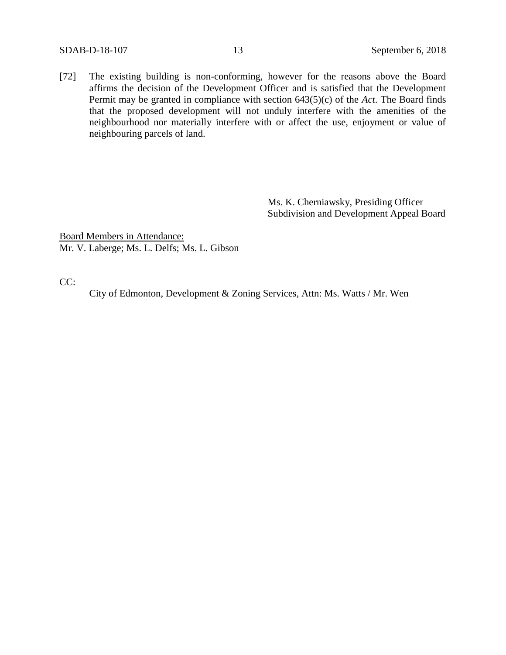[72] The existing building is non-conforming, however for the reasons above the Board affirms the decision of the Development Officer and is satisfied that the Development Permit may be granted in compliance with section 643(5)(c) of the *Act*. The Board finds that the proposed development will not unduly interfere with the amenities of the neighbourhood nor materially interfere with or affect the use, enjoyment or value of neighbouring parcels of land.

> Ms. K. Cherniawsky, Presiding Officer Subdivision and Development Appeal Board

Board Members in Attendance: Mr. V. Laberge; Ms. L. Delfs; Ms. L. Gibson

CC:

City of Edmonton, Development & Zoning Services, Attn: Ms. Watts / Mr. Wen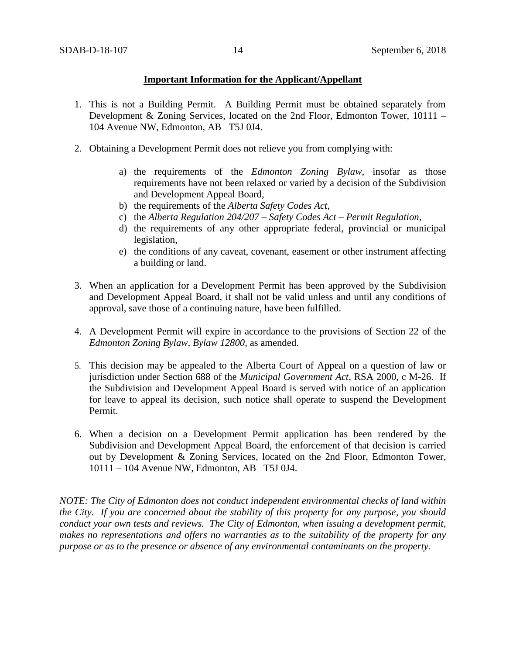### **Important Information for the Applicant/Appellant**

- 1. This is not a Building Permit. A Building Permit must be obtained separately from Development & Zoning Services, located on the 2nd Floor, Edmonton Tower, 10111 – 104 Avenue NW, Edmonton, AB T5J 0J4.
- 2. Obtaining a Development Permit does not relieve you from complying with:
	- a) the requirements of the *Edmonton Zoning Bylaw*, insofar as those requirements have not been relaxed or varied by a decision of the Subdivision and Development Appeal Board,
	- b) the requirements of the *Alberta Safety Codes Act*,
	- c) the *Alberta Regulation 204/207 – Safety Codes Act – Permit Regulation*,
	- d) the requirements of any other appropriate federal, provincial or municipal legislation,
	- e) the conditions of any caveat, covenant, easement or other instrument affecting a building or land.
- 3. When an application for a Development Permit has been approved by the Subdivision and Development Appeal Board, it shall not be valid unless and until any conditions of approval, save those of a continuing nature, have been fulfilled.
- 4. A Development Permit will expire in accordance to the provisions of Section 22 of the *Edmonton Zoning Bylaw, Bylaw 12800*, as amended.
- 5. This decision may be appealed to the Alberta Court of Appeal on a question of law or jurisdiction under Section 688 of the *Municipal Government Act*, RSA 2000, c M-26. If the Subdivision and Development Appeal Board is served with notice of an application for leave to appeal its decision, such notice shall operate to suspend the Development Permit.
- 6. When a decision on a Development Permit application has been rendered by the Subdivision and Development Appeal Board, the enforcement of that decision is carried out by Development & Zoning Services, located on the 2nd Floor, Edmonton Tower, 10111 – 104 Avenue NW, Edmonton, AB T5J 0J4.

*NOTE: The City of Edmonton does not conduct independent environmental checks of land within the City. If you are concerned about the stability of this property for any purpose, you should conduct your own tests and reviews. The City of Edmonton, when issuing a development permit, makes no representations and offers no warranties as to the suitability of the property for any purpose or as to the presence or absence of any environmental contaminants on the property.*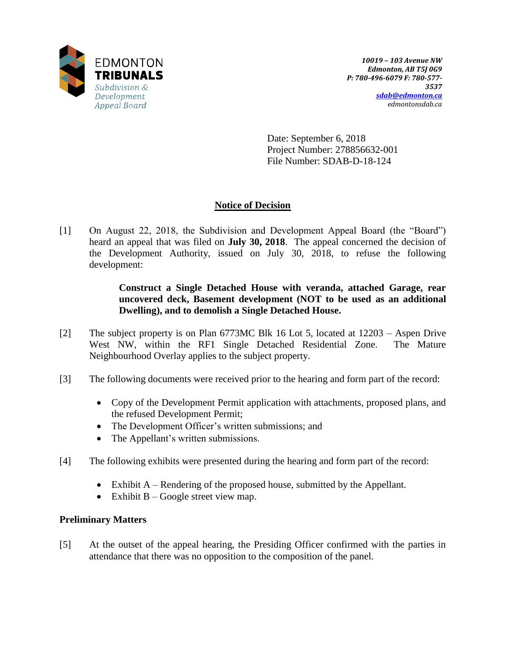

Date: September 6, 2018 Project Number: 278856632-001 File Number: SDAB-D-18-124

# **Notice of Decision**

[1] On August 22, 2018, the Subdivision and Development Appeal Board (the "Board") heard an appeal that was filed on **July 30, 2018**. The appeal concerned the decision of the Development Authority, issued on July 30, 2018, to refuse the following development:

> **Construct a Single Detached House with veranda, attached Garage, rear uncovered deck, Basement development (NOT to be used as an additional Dwelling), and to demolish a Single Detached House.**

- [2] The subject property is on Plan 6773MC Blk 16 Lot 5, located at 12203 Aspen Drive West NW, within the RF1 Single Detached Residential Zone. The Mature Neighbourhood Overlay applies to the subject property.
- [3] The following documents were received prior to the hearing and form part of the record:
	- Copy of the Development Permit application with attachments, proposed plans, and the refused Development Permit;
	- The Development Officer's written submissions; and
	- The Appellant's written submissions.
- [4] The following exhibits were presented during the hearing and form part of the record:
	- $\bullet$  Exhibit A Rendering of the proposed house, submitted by the Appellant.
	- Exhibit  $B Google$  street view map.

## **Preliminary Matters**

[5] At the outset of the appeal hearing, the Presiding Officer confirmed with the parties in attendance that there was no opposition to the composition of the panel.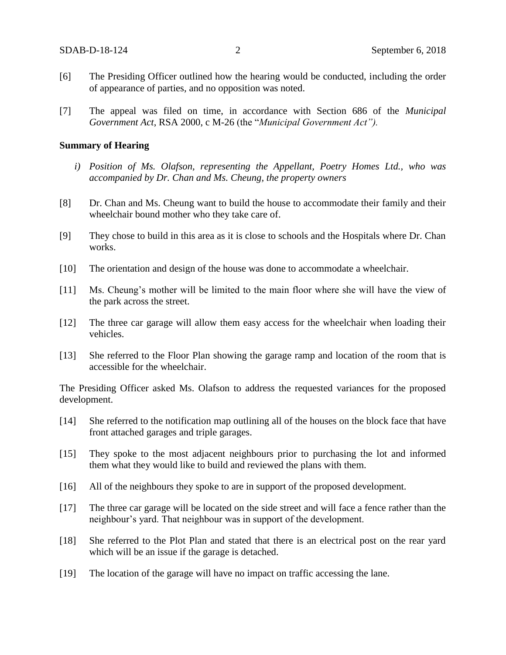- [6] The Presiding Officer outlined how the hearing would be conducted, including the order of appearance of parties, and no opposition was noted.
- [7] The appeal was filed on time, in accordance with Section 686 of the *Municipal Government Act*, RSA 2000, c M-26 (the "*Municipal Government Act").*

#### **Summary of Hearing**

- *i) Position of Ms. Olafson, representing the Appellant, Poetry Homes Ltd., who was accompanied by Dr. Chan and Ms. Cheung, the property owners*
- [8] Dr. Chan and Ms. Cheung want to build the house to accommodate their family and their wheelchair bound mother who they take care of.
- [9] They chose to build in this area as it is close to schools and the Hospitals where Dr. Chan works.
- [10] The orientation and design of the house was done to accommodate a wheelchair.
- [11] Ms. Cheung's mother will be limited to the main floor where she will have the view of the park across the street.
- [12] The three car garage will allow them easy access for the wheelchair when loading their vehicles.
- [13] She referred to the Floor Plan showing the garage ramp and location of the room that is accessible for the wheelchair.

The Presiding Officer asked Ms. Olafson to address the requested variances for the proposed development.

- [14] She referred to the notification map outlining all of the houses on the block face that have front attached garages and triple garages.
- [15] They spoke to the most adjacent neighbours prior to purchasing the lot and informed them what they would like to build and reviewed the plans with them.
- [16] All of the neighbours they spoke to are in support of the proposed development.
- [17] The three car garage will be located on the side street and will face a fence rather than the neighbour's yard. That neighbour was in support of the development.
- [18] She referred to the Plot Plan and stated that there is an electrical post on the rear yard which will be an issue if the garage is detached.
- [19] The location of the garage will have no impact on traffic accessing the lane.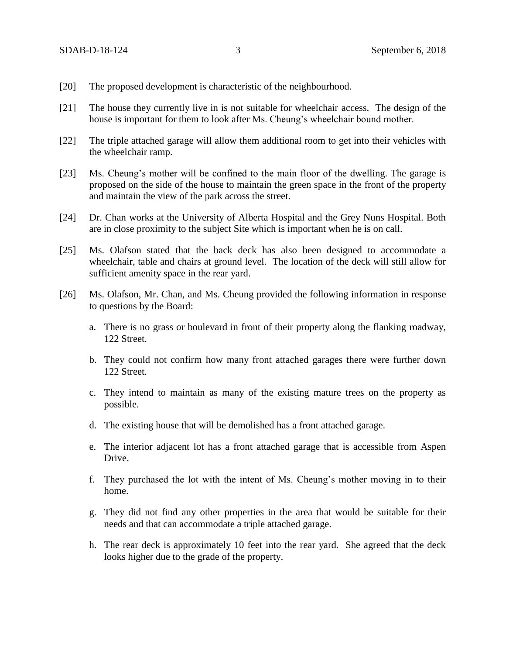- [20] The proposed development is characteristic of the neighbourhood.
- [21] The house they currently live in is not suitable for wheelchair access. The design of the house is important for them to look after Ms. Cheung's wheelchair bound mother.
- [22] The triple attached garage will allow them additional room to get into their vehicles with the wheelchair ramp.
- [23] Ms. Cheung's mother will be confined to the main floor of the dwelling. The garage is proposed on the side of the house to maintain the green space in the front of the property and maintain the view of the park across the street.
- [24] Dr. Chan works at the University of Alberta Hospital and the Grey Nuns Hospital. Both are in close proximity to the subject Site which is important when he is on call.
- [25] Ms. Olafson stated that the back deck has also been designed to accommodate a wheelchair, table and chairs at ground level. The location of the deck will still allow for sufficient amenity space in the rear yard.
- [26] Ms. Olafson, Mr. Chan, and Ms. Cheung provided the following information in response to questions by the Board:
	- a. There is no grass or boulevard in front of their property along the flanking roadway, 122 Street.
	- b. They could not confirm how many front attached garages there were further down 122 Street.
	- c. They intend to maintain as many of the existing mature trees on the property as possible.
	- d. The existing house that will be demolished has a front attached garage.
	- e. The interior adjacent lot has a front attached garage that is accessible from Aspen Drive.
	- f. They purchased the lot with the intent of Ms. Cheung's mother moving in to their home.
	- g. They did not find any other properties in the area that would be suitable for their needs and that can accommodate a triple attached garage.
	- h. The rear deck is approximately 10 feet into the rear yard. She agreed that the deck looks higher due to the grade of the property.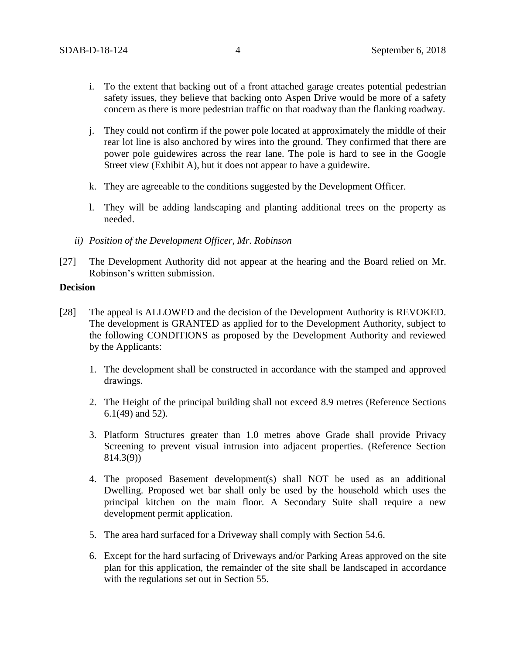- i. To the extent that backing out of a front attached garage creates potential pedestrian safety issues, they believe that backing onto Aspen Drive would be more of a safety concern as there is more pedestrian traffic on that roadway than the flanking roadway.
- j. They could not confirm if the power pole located at approximately the middle of their rear lot line is also anchored by wires into the ground. They confirmed that there are power pole guidewires across the rear lane. The pole is hard to see in the Google Street view (Exhibit A), but it does not appear to have a guidewire.
- k. They are agreeable to the conditions suggested by the Development Officer.
- l. They will be adding landscaping and planting additional trees on the property as needed.
- *ii) Position of the Development Officer, Mr. Robinson*
- [27] The Development Authority did not appear at the hearing and the Board relied on Mr. Robinson's written submission.

### **Decision**

- [28] The appeal is ALLOWED and the decision of the Development Authority is REVOKED. The development is GRANTED as applied for to the Development Authority, subject to the following CONDITIONS as proposed by the Development Authority and reviewed by the Applicants:
	- 1. The development shall be constructed in accordance with the stamped and approved drawings.
	- 2. The Height of the principal building shall not exceed 8.9 metres (Reference Sections 6.1(49) and 52).
	- 3. Platform Structures greater than 1.0 metres above Grade shall provide Privacy Screening to prevent visual intrusion into adjacent properties. (Reference Section 814.3(9))
	- 4. The proposed Basement development(s) shall NOT be used as an additional Dwelling. Proposed wet bar shall only be used by the household which uses the principal kitchen on the main floor. A Secondary Suite shall require a new development permit application.
	- 5. The area hard surfaced for a Driveway shall comply with Section 54.6.
	- 6. Except for the hard surfacing of Driveways and/or Parking Areas approved on the site plan for this application, the remainder of the site shall be landscaped in accordance with the regulations set out in Section 55.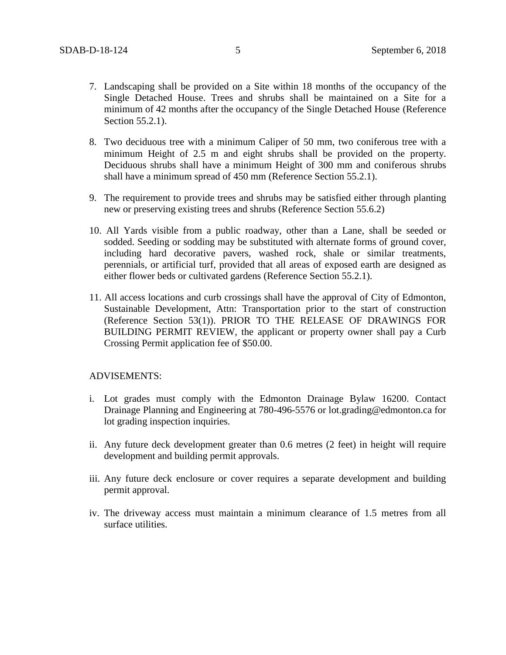- 7. Landscaping shall be provided on a Site within 18 months of the occupancy of the Single Detached House. Trees and shrubs shall be maintained on a Site for a minimum of 42 months after the occupancy of the Single Detached House (Reference Section 55.2.1).
- 8. Two deciduous tree with a minimum Caliper of 50 mm, two coniferous tree with a minimum Height of 2.5 m and eight shrubs shall be provided on the property. Deciduous shrubs shall have a minimum Height of 300 mm and coniferous shrubs shall have a minimum spread of 450 mm (Reference Section 55.2.1).
- 9. The requirement to provide trees and shrubs may be satisfied either through planting new or preserving existing trees and shrubs (Reference Section 55.6.2)
- 10. All Yards visible from a public roadway, other than a Lane, shall be seeded or sodded. Seeding or sodding may be substituted with alternate forms of ground cover, including hard decorative pavers, washed rock, shale or similar treatments, perennials, or artificial turf, provided that all areas of exposed earth are designed as either flower beds or cultivated gardens (Reference Section 55.2.1).
- 11. All access locations and curb crossings shall have the approval of City of Edmonton, Sustainable Development, Attn: Transportation prior to the start of construction (Reference Section 53(1)). PRIOR TO THE RELEASE OF DRAWINGS FOR BUILDING PERMIT REVIEW, the applicant or property owner shall pay a Curb Crossing Permit application fee of \$50.00.

#### ADVISEMENTS:

- i. Lot grades must comply with the Edmonton Drainage Bylaw 16200. Contact Drainage Planning and Engineering at 780-496-5576 or lot.grading@edmonton.ca for lot grading inspection inquiries.
- ii. Any future deck development greater than 0.6 metres (2 feet) in height will require development and building permit approvals.
- iii. Any future deck enclosure or cover requires a separate development and building permit approval.
- iv. The driveway access must maintain a minimum clearance of 1.5 metres from all surface utilities.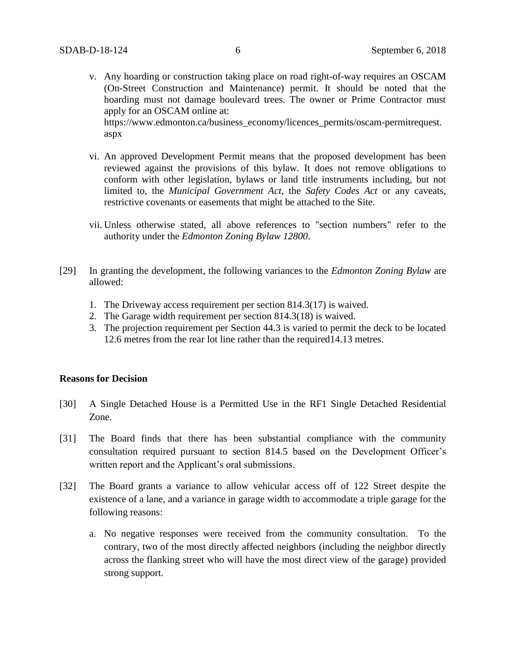v. Any hoarding or construction taking place on road right-of-way requires an OSCAM (On-Street Construction and Maintenance) permit. It should be noted that the hoarding must not damage boulevard trees. The owner or Prime Contractor must apply for an OSCAM online at:

https://www.edmonton.ca/business\_economy/licences\_permits/oscam-permitrequest. aspx

- vi. An approved Development Permit means that the proposed development has been reviewed against the provisions of this bylaw. It does not remove obligations to conform with other legislation, bylaws or land title instruments including, but not limited to, the *Municipal Government Act*, the *Safety Codes Act* or any caveats, restrictive covenants or easements that might be attached to the Site.
- vii. Unless otherwise stated, all above references to "section numbers" refer to the authority under the *Edmonton Zoning Bylaw 12800*.
- [29] In granting the development, the following variances to the *Edmonton Zoning Bylaw* are allowed:
	- 1. The Driveway access requirement per section 814.3(17) is waived.
	- 2. The Garage width requirement per section 814.3(18) is waived.
	- 3. The projection requirement per Section 44.3 is varied to permit the deck to be located 12.6 metres from the rear lot line rather than the required14.13 metres.

#### **Reasons for Decision**

- [30] A Single Detached House is a Permitted Use in the RF1 Single Detached Residential Zone.
- [31] The Board finds that there has been substantial compliance with the community consultation required pursuant to section 814.5 based on the Development Officer's written report and the Applicant's oral submissions.
- [32] The Board grants a variance to allow vehicular access off of 122 Street despite the existence of a lane, and a variance in garage width to accommodate a triple garage for the following reasons:
	- a. No negative responses were received from the community consultation. To the contrary, two of the most directly affected neighbors (including the neighbor directly across the flanking street who will have the most direct view of the garage) provided strong support.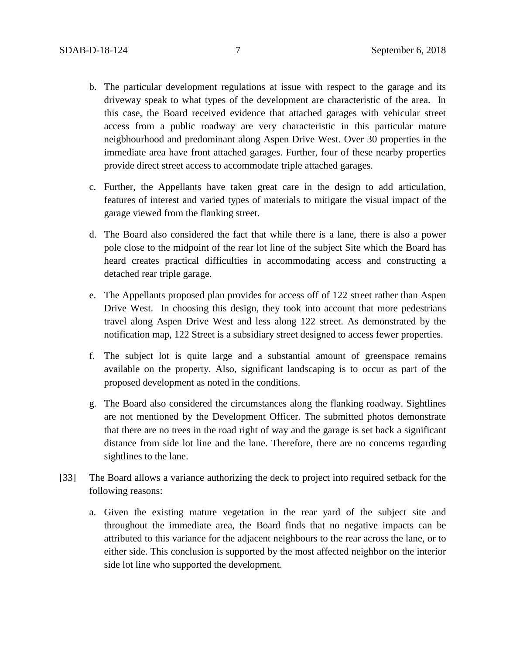- b. The particular development regulations at issue with respect to the garage and its driveway speak to what types of the development are characteristic of the area. In this case, the Board received evidence that attached garages with vehicular street access from a public roadway are very characteristic in this particular mature neigbhourhood and predominant along Aspen Drive West. Over 30 properties in the immediate area have front attached garages. Further, four of these nearby properties provide direct street access to accommodate triple attached garages.
- c. Further, the Appellants have taken great care in the design to add articulation, features of interest and varied types of materials to mitigate the visual impact of the garage viewed from the flanking street.
- d. The Board also considered the fact that while there is a lane, there is also a power pole close to the midpoint of the rear lot line of the subject Site which the Board has heard creates practical difficulties in accommodating access and constructing a detached rear triple garage.
- e. The Appellants proposed plan provides for access off of 122 street rather than Aspen Drive West. In choosing this design, they took into account that more pedestrians travel along Aspen Drive West and less along 122 street. As demonstrated by the notification map, 122 Street is a subsidiary street designed to access fewer properties.
- f. The subject lot is quite large and a substantial amount of greenspace remains available on the property. Also, significant landscaping is to occur as part of the proposed development as noted in the conditions.
- g. The Board also considered the circumstances along the flanking roadway. Sightlines are not mentioned by the Development Officer. The submitted photos demonstrate that there are no trees in the road right of way and the garage is set back a significant distance from side lot line and the lane. Therefore, there are no concerns regarding sightlines to the lane.
- [33] The Board allows a variance authorizing the deck to project into required setback for the following reasons:
	- a. Given the existing mature vegetation in the rear yard of the subject site and throughout the immediate area, the Board finds that no negative impacts can be attributed to this variance for the adjacent neighbours to the rear across the lane, or to either side. This conclusion is supported by the most affected neighbor on the interior side lot line who supported the development.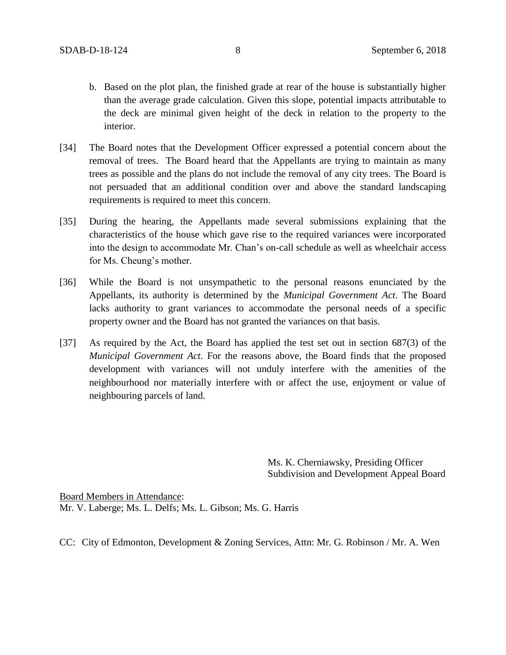- b. Based on the plot plan, the finished grade at rear of the house is substantially higher than the average grade calculation. Given this slope, potential impacts attributable to the deck are minimal given height of the deck in relation to the property to the interior.
- [34] The Board notes that the Development Officer expressed a potential concern about the removal of trees. The Board heard that the Appellants are trying to maintain as many trees as possible and the plans do not include the removal of any city trees. The Board is not persuaded that an additional condition over and above the standard landscaping requirements is required to meet this concern.
- [35] During the hearing, the Appellants made several submissions explaining that the characteristics of the house which gave rise to the required variances were incorporated into the design to accommodate Mr. Chan's on-call schedule as well as wheelchair access for Ms. Cheung's mother.
- [36] While the Board is not unsympathetic to the personal reasons enunciated by the Appellants, its authority is determined by the *Municipal Government Act*. The Board lacks authority to grant variances to accommodate the personal needs of a specific property owner and the Board has not granted the variances on that basis.
- [37] As required by the Act, the Board has applied the test set out in section 687(3) of the *Municipal Government Act*. For the reasons above, the Board finds that the proposed development with variances will not unduly interfere with the amenities of the neighbourhood nor materially interfere with or affect the use, enjoyment or value of neighbouring parcels of land.

Ms. K. Cherniawsky, Presiding Officer Subdivision and Development Appeal Board

Board Members in Attendance: Mr. V. Laberge; Ms. L. Delfs; Ms. L. Gibson; Ms. G. Harris

CC: City of Edmonton, Development & Zoning Services, Attn: Mr. G. Robinson / Mr. A. Wen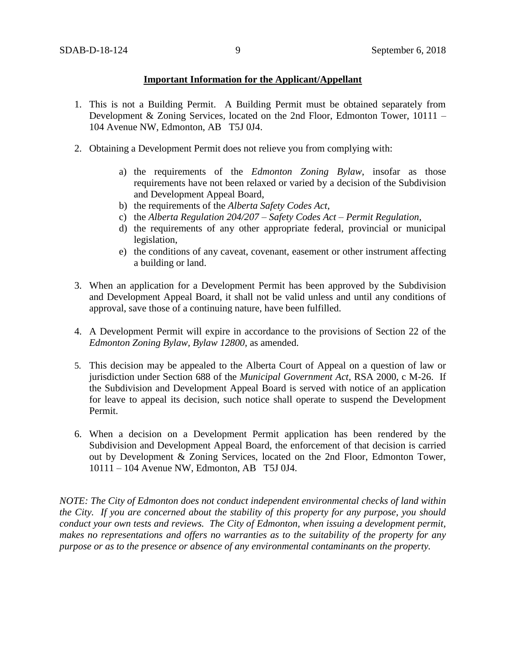### **Important Information for the Applicant/Appellant**

- 1. This is not a Building Permit. A Building Permit must be obtained separately from Development & Zoning Services, located on the 2nd Floor, Edmonton Tower, 10111 – 104 Avenue NW, Edmonton, AB T5J 0J4.
- 2. Obtaining a Development Permit does not relieve you from complying with:
	- a) the requirements of the *Edmonton Zoning Bylaw*, insofar as those requirements have not been relaxed or varied by a decision of the Subdivision and Development Appeal Board,
	- b) the requirements of the *Alberta Safety Codes Act*,
	- c) the *Alberta Regulation 204/207 – Safety Codes Act – Permit Regulation*,
	- d) the requirements of any other appropriate federal, provincial or municipal legislation,
	- e) the conditions of any caveat, covenant, easement or other instrument affecting a building or land.
- 3. When an application for a Development Permit has been approved by the Subdivision and Development Appeal Board, it shall not be valid unless and until any conditions of approval, save those of a continuing nature, have been fulfilled.
- 4. A Development Permit will expire in accordance to the provisions of Section 22 of the *Edmonton Zoning Bylaw, Bylaw 12800*, as amended.
- 5. This decision may be appealed to the Alberta Court of Appeal on a question of law or jurisdiction under Section 688 of the *Municipal Government Act*, RSA 2000, c M-26. If the Subdivision and Development Appeal Board is served with notice of an application for leave to appeal its decision, such notice shall operate to suspend the Development Permit.
- 6. When a decision on a Development Permit application has been rendered by the Subdivision and Development Appeal Board, the enforcement of that decision is carried out by Development & Zoning Services, located on the 2nd Floor, Edmonton Tower, 10111 – 104 Avenue NW, Edmonton, AB T5J 0J4.

*NOTE: The City of Edmonton does not conduct independent environmental checks of land within the City. If you are concerned about the stability of this property for any purpose, you should conduct your own tests and reviews. The City of Edmonton, when issuing a development permit, makes no representations and offers no warranties as to the suitability of the property for any purpose or as to the presence or absence of any environmental contaminants on the property.*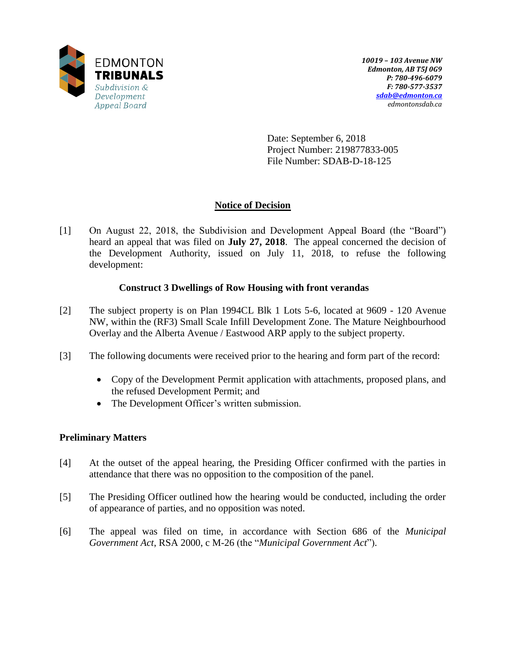

Date: September 6, 2018 Project Number: 219877833-005 File Number: SDAB-D-18-125

# **Notice of Decision**

[1] On August 22, 2018, the Subdivision and Development Appeal Board (the "Board") heard an appeal that was filed on **July 27, 2018**. The appeal concerned the decision of the Development Authority, issued on July 11, 2018, to refuse the following development:

## **Construct 3 Dwellings of Row Housing with front verandas**

- [2] The subject property is on Plan 1994CL Blk 1 Lots 5-6, located at 9609 120 Avenue NW, within the (RF3) Small Scale Infill Development Zone. The Mature Neighbourhood Overlay and the Alberta Avenue / Eastwood ARP apply to the subject property.
- [3] The following documents were received prior to the hearing and form part of the record:
	- Copy of the Development Permit application with attachments, proposed plans, and the refused Development Permit; and
	- The Development Officer's written submission.

## **Preliminary Matters**

- [4] At the outset of the appeal hearing, the Presiding Officer confirmed with the parties in attendance that there was no opposition to the composition of the panel.
- [5] The Presiding Officer outlined how the hearing would be conducted, including the order of appearance of parties, and no opposition was noted.
- [6] The appeal was filed on time, in accordance with Section 686 of the *Municipal Government Act*, RSA 2000, c M-26 (the "*Municipal Government Act*").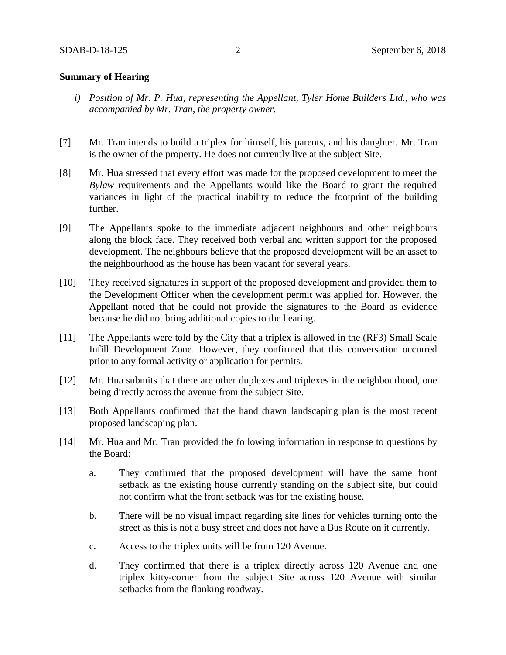#### **Summary of Hearing**

- *i) Position of Mr. P. Hua, representing the Appellant, Tyler Home Builders Ltd., who was accompanied by Mr. Tran, the property owner.*
- [7] Mr. Tran intends to build a triplex for himself, his parents, and his daughter. Mr. Tran is the owner of the property. He does not currently live at the subject Site.
- [8] Mr. Hua stressed that every effort was made for the proposed development to meet the *Bylaw* requirements and the Appellants would like the Board to grant the required variances in light of the practical inability to reduce the footprint of the building further.
- [9] The Appellants spoke to the immediate adjacent neighbours and other neighbours along the block face. They received both verbal and written support for the proposed development. The neighbours believe that the proposed development will be an asset to the neighbourhood as the house has been vacant for several years.
- [10] They received signatures in support of the proposed development and provided them to the Development Officer when the development permit was applied for. However, the Appellant noted that he could not provide the signatures to the Board as evidence because he did not bring additional copies to the hearing.
- [11] The Appellants were told by the City that a triplex is allowed in the (RF3) Small Scale Infill Development Zone. However, they confirmed that this conversation occurred prior to any formal activity or application for permits.
- [12] Mr. Hua submits that there are other duplexes and triplexes in the neighbourhood, one being directly across the avenue from the subject Site.
- [13] Both Appellants confirmed that the hand drawn landscaping plan is the most recent proposed landscaping plan.
- [14] Mr. Hua and Mr. Tran provided the following information in response to questions by the Board:
	- a. They confirmed that the proposed development will have the same front setback as the existing house currently standing on the subject site, but could not confirm what the front setback was for the existing house.
	- b. There will be no visual impact regarding site lines for vehicles turning onto the street as this is not a busy street and does not have a Bus Route on it currently.
	- c. Access to the triplex units will be from 120 Avenue.
	- d. They confirmed that there is a triplex directly across 120 Avenue and one triplex kitty-corner from the subject Site across 120 Avenue with similar setbacks from the flanking roadway.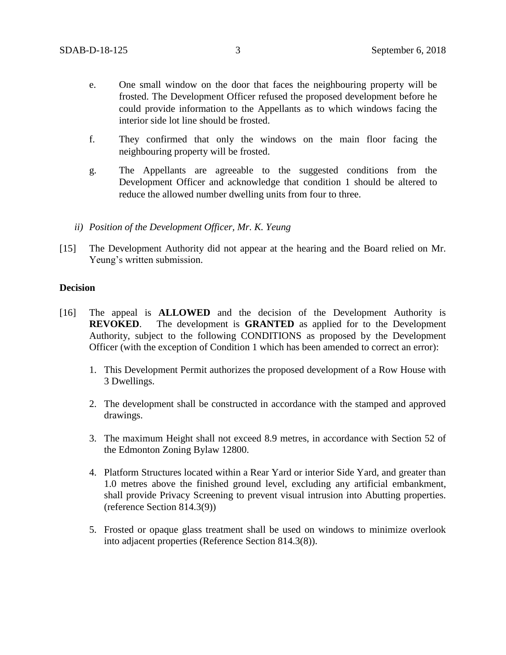- e. One small window on the door that faces the neighbouring property will be frosted. The Development Officer refused the proposed development before he could provide information to the Appellants as to which windows facing the interior side lot line should be frosted.
- f. They confirmed that only the windows on the main floor facing the neighbouring property will be frosted.
- g. The Appellants are agreeable to the suggested conditions from the Development Officer and acknowledge that condition 1 should be altered to reduce the allowed number dwelling units from four to three.
- *ii) Position of the Development Officer, Mr. K. Yeung*
- [15] The Development Authority did not appear at the hearing and the Board relied on Mr. Yeung's written submission.

#### **Decision**

- [16] The appeal is **ALLOWED** and the decision of the Development Authority is **REVOKED**. The development is **GRANTED** as applied for to the Development Authority, subject to the following CONDITIONS as proposed by the Development Officer (with the exception of Condition 1 which has been amended to correct an error):
	- 1. This Development Permit authorizes the proposed development of a Row House with 3 Dwellings.
	- 2. The development shall be constructed in accordance with the stamped and approved drawings.
	- 3. The maximum Height shall not exceed 8.9 metres, in accordance with Section 52 of the Edmonton Zoning Bylaw 12800.
	- 4. Platform Structures located within a Rear Yard or interior Side Yard, and greater than 1.0 metres above the finished ground level, excluding any artificial embankment, shall provide Privacy Screening to prevent visual intrusion into Abutting properties. (reference Section 814.3(9))
	- 5. Frosted or opaque glass treatment shall be used on windows to minimize overlook into adjacent properties (Reference Section 814.3(8)).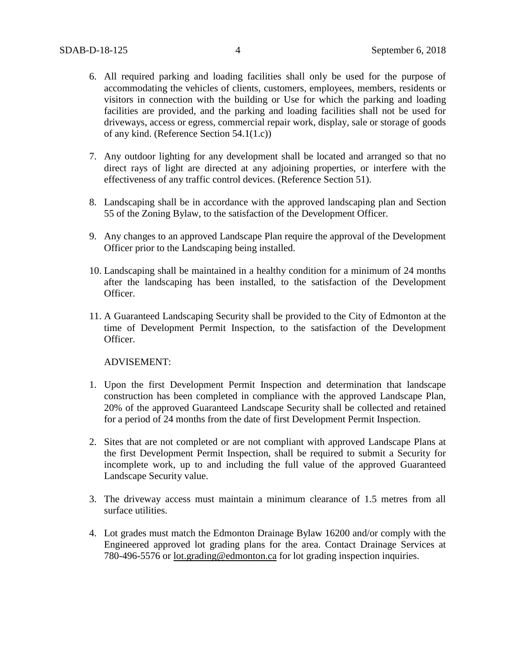- 6. All required parking and loading facilities shall only be used for the purpose of accommodating the vehicles of clients, customers, employees, members, residents or visitors in connection with the building or Use for which the parking and loading facilities are provided, and the parking and loading facilities shall not be used for driveways, access or egress, commercial repair work, display, sale or storage of goods of any kind. (Reference Section 54.1(1.c))
- 7. Any outdoor lighting for any development shall be located and arranged so that no direct rays of light are directed at any adjoining properties, or interfere with the effectiveness of any traffic control devices. (Reference Section 51).
- 8. Landscaping shall be in accordance with the approved landscaping plan and Section 55 of the Zoning Bylaw, to the satisfaction of the Development Officer.
- 9. Any changes to an approved Landscape Plan require the approval of the Development Officer prior to the Landscaping being installed.
- 10. Landscaping shall be maintained in a healthy condition for a minimum of 24 months after the landscaping has been installed, to the satisfaction of the Development Officer.
- 11. A Guaranteed Landscaping Security shall be provided to the City of Edmonton at the time of Development Permit Inspection, to the satisfaction of the Development Officer.

ADVISEMENT:

- 1. Upon the first Development Permit Inspection and determination that landscape construction has been completed in compliance with the approved Landscape Plan, 20% of the approved Guaranteed Landscape Security shall be collected and retained for a period of 24 months from the date of first Development Permit Inspection.
- 2. Sites that are not completed or are not compliant with approved Landscape Plans at the first Development Permit Inspection, shall be required to submit a Security for incomplete work, up to and including the full value of the approved Guaranteed Landscape Security value.
- 3. The driveway access must maintain a minimum clearance of 1.5 metres from all surface utilities.
- 4. Lot grades must match the Edmonton Drainage Bylaw 16200 and/or comply with the Engineered approved lot grading plans for the area. Contact Drainage Services at 780-496-5576 or [lot.grading@edmonton.ca](mailto:lot.grading@edmonton.ca) for lot grading inspection inquiries.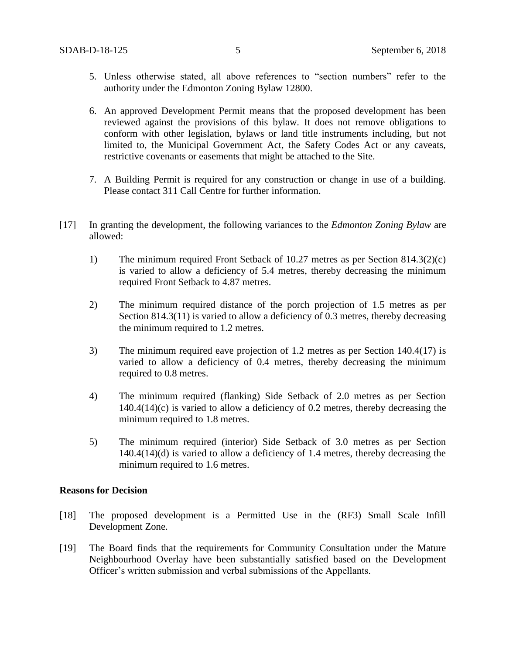- 5. Unless otherwise stated, all above references to "section numbers" refer to the authority under the Edmonton Zoning Bylaw 12800.
- 6. An approved Development Permit means that the proposed development has been reviewed against the provisions of this bylaw. It does not remove obligations to conform with other legislation, bylaws or land title instruments including, but not limited to, the Municipal Government Act, the Safety Codes Act or any caveats, restrictive covenants or easements that might be attached to the Site.
- 7. A Building Permit is required for any construction or change in use of a building. Please contact 311 Call Centre for further information.
- [17] In granting the development, the following variances to the *Edmonton Zoning Bylaw* are allowed:
	- 1) The minimum required Front Setback of 10.27 metres as per Section 814.3(2)(c) is varied to allow a deficiency of 5.4 metres, thereby decreasing the minimum required Front Setback to 4.87 metres.
	- 2) The minimum required distance of the porch projection of 1.5 metres as per Section 814.3(11) is varied to allow a deficiency of 0.3 metres, thereby decreasing the minimum required to 1.2 metres.
	- 3) The minimum required eave projection of 1.2 metres as per Section 140.4(17) is varied to allow a deficiency of 0.4 metres, thereby decreasing the minimum required to 0.8 metres.
	- 4) The minimum required (flanking) Side Setback of 2.0 metres as per Section 140.4(14)(c) is varied to allow a deficiency of 0.2 metres, thereby decreasing the minimum required to 1.8 metres.
	- 5) The minimum required (interior) Side Setback of 3.0 metres as per Section 140.4(14)(d) is varied to allow a deficiency of 1.4 metres, thereby decreasing the minimum required to 1.6 metres.

#### **Reasons for Decision**

- [18] The proposed development is a Permitted Use in the (RF3) Small Scale Infill Development Zone.
- [19] The Board finds that the requirements for Community Consultation under the Mature Neighbourhood Overlay have been substantially satisfied based on the Development Officer's written submission and verbal submissions of the Appellants.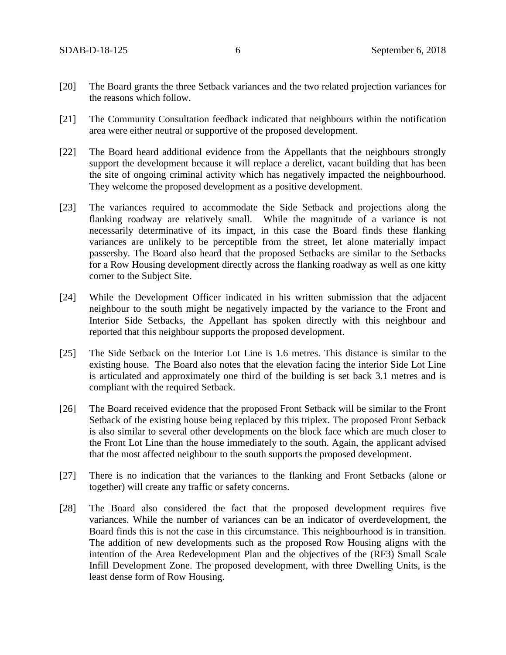- [20] The Board grants the three Setback variances and the two related projection variances for the reasons which follow.
- [21] The Community Consultation feedback indicated that neighbours within the notification area were either neutral or supportive of the proposed development.
- [22] The Board heard additional evidence from the Appellants that the neighbours strongly support the development because it will replace a derelict, vacant building that has been the site of ongoing criminal activity which has negatively impacted the neighbourhood. They welcome the proposed development as a positive development.
- [23] The variances required to accommodate the Side Setback and projections along the flanking roadway are relatively small. While the magnitude of a variance is not necessarily determinative of its impact, in this case the Board finds these flanking variances are unlikely to be perceptible from the street, let alone materially impact passersby. The Board also heard that the proposed Setbacks are similar to the Setbacks for a Row Housing development directly across the flanking roadway as well as one kitty corner to the Subject Site.
- [24] While the Development Officer indicated in his written submission that the adjacent neighbour to the south might be negatively impacted by the variance to the Front and Interior Side Setbacks, the Appellant has spoken directly with this neighbour and reported that this neighbour supports the proposed development.
- [25] The Side Setback on the Interior Lot Line is 1.6 metres. This distance is similar to the existing house. The Board also notes that the elevation facing the interior Side Lot Line is articulated and approximately one third of the building is set back 3.1 metres and is compliant with the required Setback.
- [26] The Board received evidence that the proposed Front Setback will be similar to the Front Setback of the existing house being replaced by this triplex. The proposed Front Setback is also similar to several other developments on the block face which are much closer to the Front Lot Line than the house immediately to the south. Again, the applicant advised that the most affected neighbour to the south supports the proposed development.
- [27] There is no indication that the variances to the flanking and Front Setbacks (alone or together) will create any traffic or safety concerns.
- [28] The Board also considered the fact that the proposed development requires five variances. While the number of variances can be an indicator of overdevelopment, the Board finds this is not the case in this circumstance. This neighbourhood is in transition. The addition of new developments such as the proposed Row Housing aligns with the intention of the Area Redevelopment Plan and the objectives of the (RF3) Small Scale Infill Development Zone. The proposed development, with three Dwelling Units, is the least dense form of Row Housing.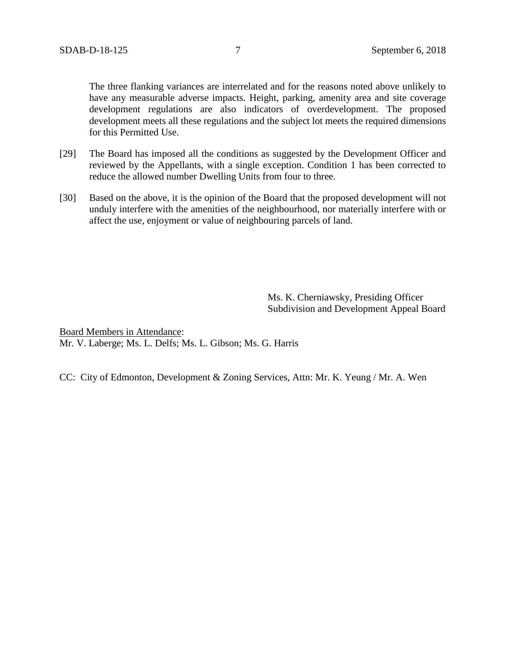The three flanking variances are interrelated and for the reasons noted above unlikely to have any measurable adverse impacts. Height, parking, amenity area and site coverage development regulations are also indicators of overdevelopment. The proposed development meets all these regulations and the subject lot meets the required dimensions for this Permitted Use.

- [29] The Board has imposed all the conditions as suggested by the Development Officer and reviewed by the Appellants, with a single exception. Condition 1 has been corrected to reduce the allowed number Dwelling Units from four to three.
- [30] Based on the above, it is the opinion of the Board that the proposed development will not unduly interfere with the amenities of the neighbourhood, nor materially interfere with or affect the use, enjoyment or value of neighbouring parcels of land.

Ms. K. Cherniawsky, Presiding Officer Subdivision and Development Appeal Board

Board Members in Attendance: Mr. V. Laberge; Ms. L. Delfs; Ms. L. Gibson; Ms. G. Harris

CC: City of Edmonton, Development & Zoning Services, Attn: Mr. K. Yeung / Mr. A. Wen